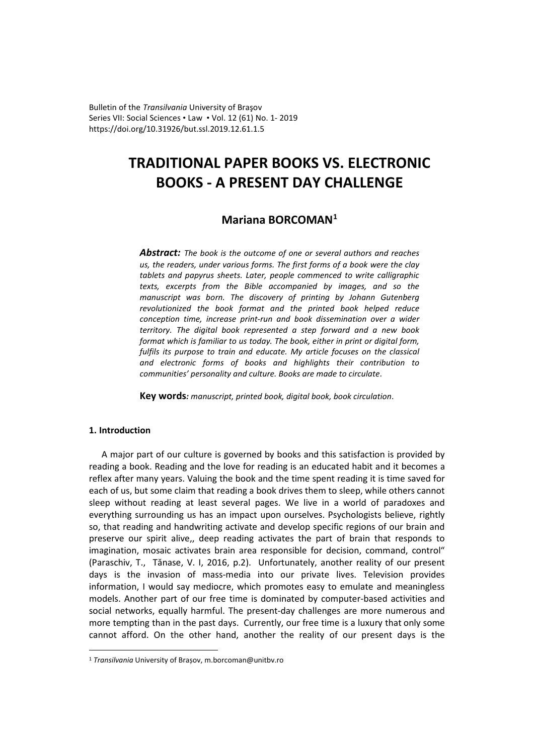Bulletin of the *Transilvania* University of Braşov Series VII: Social Sciences • Law • Vol. 12 (61) No. 1- 2019 https://doi.org/10.31926/but.ssl.2019.12.61.1.5

# **TRADITIONAL PAPER BOOKS VS. ELECTRONIC BOOKS - A PRESENT DAY CHALLENGE**

## **Mariana BORCOMAN[1](#page-0-0)**

*Abstract: The book is the outcome of one or several authors and reaches us, the readers, under various forms. The first forms of a book were the clay tablets and papyrus sheets. Later, people commenced to write calligraphic texts, excerpts from the Bible accompanied by images, and so the manuscript was born. The discovery of printing by Johann Gutenberg revolutionized the book format and the printed book helped reduce conception time, increase print-run and book dissemination over a wider territory. The digital book represented a step forward and a new book format which is familiar to us today. The book, either in print or digital form, fulfils its purpose to train and educate. My article focuses on the classical and electronic forms of books and highlights their contribution to communities' personality and culture. Books are made to circulate*.

**Key words***: manuscript, printed book, digital book, book circulation*.

## **1. Introduction**

 $\overline{a}$ 

A major part of our culture is governed by books and this satisfaction is provided by reading a book. Reading and the love for reading is an educated habit and it becomes a reflex after many years. Valuing the book and the time spent reading it is time saved for each of us, but some claim that reading a book drives them to sleep, while others cannot sleep without reading at least several pages. We live in a world of paradoxes and everything surrounding us has an impact upon ourselves. Psychologists believe, rightly so, that reading and handwriting activate and develop specific regions of our brain and preserve our spirit alive,, deep reading activates the part of brain that responds to imagination, mosaic activates brain area responsible for decision, command, control" (Paraschiv, T., Tănase, V. I, 2016, p.2). Unfortunately, another reality of our present days is the invasion of mass-media into our private lives. Television provides information, I would say mediocre, which promotes easy to emulate and meaningless models. Another part of our free time is dominated by computer-based activities and social networks, equally harmful. The present-day challenges are more numerous and more tempting than in the past days. Currently, our free time is a luxury that only some cannot afford. On the other hand, another the reality of our present days is the

<span id="page-0-0"></span><sup>1</sup> *Transilvania* University of Brașov, m.borcoman@unitbv.ro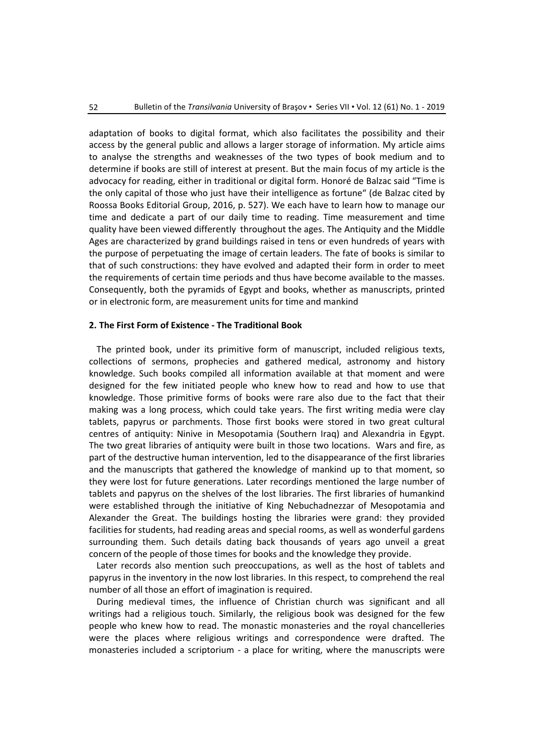adaptation of books to digital format, which also facilitates the possibility and their access by the general public and allows a larger storage of information. My article aims to analyse the strengths and weaknesses of the two types of book medium and to determine if books are still of interest at present. But the main focus of my article is the advocacy for reading, either in traditional or digital form. Honoré de Balzac said "Time is the only capital of those who just have their intelligence as fortune" (de Balzac cited by Roossa Books Editorial Group, 2016, p. 527). We each have to learn how to manage our time and dedicate a part of our daily time to reading. Time measurement and time quality have been viewed differently throughout the ages. The Antiquity and the Middle Ages are characterized by grand buildings raised in tens or even hundreds of years with the purpose of perpetuating the image of certain leaders. The fate of books is similar to that of such constructions: they have evolved and adapted their form in order to meet the requirements of certain time periods and thus have become available to the masses. Consequently, both the pyramids of Egypt and books, whether as manuscripts, printed or in electronic form, are measurement units for time and mankind

#### **2. The First Form of Existence - The Traditional Book**

The printed book, under its primitive form of manuscript, included religious texts, collections of sermons, prophecies and gathered medical, astronomy and history knowledge. Such books compiled all information available at that moment and were designed for the few initiated people who knew how to read and how to use that knowledge. Those primitive forms of books were rare also due to the fact that their making was a long process, which could take years. The first writing media were clay tablets, papyrus or parchments. Those first books were stored in two great cultural centres of antiquity: Ninive in Mesopotamia (Southern Iraq) and Alexandria in Egypt. The two great libraries of antiquity were built in those two locations. Wars and fire, as part of the destructive human intervention, led to the disappearance of the first libraries and the manuscripts that gathered the knowledge of mankind up to that moment, so they were lost for future generations. Later recordings mentioned the large number of tablets and papyrus on the shelves of the lost libraries. The first libraries of humankind were established through the initiative of King Nebuchadnezzar of Mesopotamia and Alexander the Great. The buildings hosting the libraries were grand: they provided facilities for students, had reading areas and special rooms, as well as wonderful gardens surrounding them. Such details dating back thousands of years ago unveil a great concern of the people of those times for books and the knowledge they provide.

Later records also mention such preoccupations, as well as the host of tablets and papyrus in the inventory in the now lost libraries. In this respect, to comprehend the real number of all those an effort of imagination is required.

During medieval times, the influence of Christian church was significant and all writings had a religious touch. Similarly, the religious book was designed for the few people who knew how to read. The monastic monasteries and the royal chancelleries were the places where religious writings and correspondence were drafted. The monasteries included a scriptorium - a place for writing, where the manuscripts were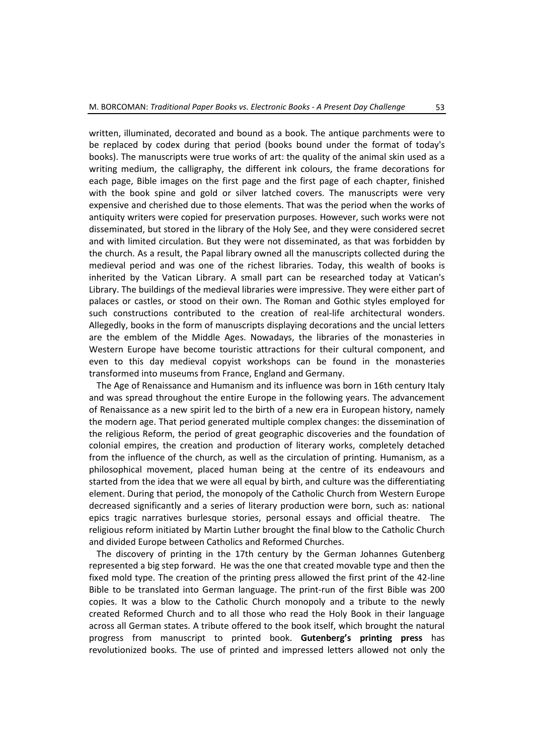written, illuminated, decorated and bound as a book. The antique parchments were to be replaced by codex during that period (books bound under the format of today's books). The manuscripts were true works of art: the quality of the animal skin used as a writing medium, the calligraphy, the different ink colours, the frame decorations for each page, Bible images on the first page and the first page of each chapter, finished with the book spine and gold or silver latched covers. The manuscripts were very expensive and cherished due to those elements. That was the period when the works of antiquity writers were copied for preservation purposes. However, such works were not disseminated, but stored in the library of the Holy See, and they were considered secret and with limited circulation. But they were not disseminated, as that was forbidden by the church. As a result, the Papal library owned all the manuscripts collected during the medieval period and was one of the richest libraries. Today, this wealth of books is inherited by the Vatican Library. A small part can be researched today at Vatican's Library. The buildings of the medieval libraries were impressive. They were either part of palaces or castles, or stood on their own. The Roman and Gothic styles employed for such constructions contributed to the creation of real-life architectural wonders. Allegedly, books in the form of manuscripts displaying decorations and the uncial letters are the emblem of the Middle Ages. Nowadays, the libraries of the monasteries in Western Europe have become touristic attractions for their cultural component, and even to this day medieval copyist workshops can be found in the monasteries transformed into museums from France, England and Germany.

The Age of Renaissance and Humanism and its influence was born in 16th century Italy and was spread throughout the entire Europe in the following years. The advancement of Renaissance as a new spirit led to the birth of a new era in European history, namely the modern age. That period generated multiple complex changes: the dissemination of the religious Reform, the period of great geographic discoveries and the foundation of colonial empires, the creation and production of literary works, completely detached from the influence of the church, as well as the circulation of printing. Humanism, as a philosophical movement, placed human being at the centre of its endeavours and started from the idea that we were all equal by birth, and culture was the differentiating element. During that period, the monopoly of the Catholic Church from Western Europe decreased significantly and a series of literary production were born, such as: national epics tragic narratives burlesque stories, personal essays and official theatre. The religious reform initiated by Martin Luther brought the final blow to the Catholic Church and divided Europe between Catholics and Reformed Churches.

The discovery of printing in the 17th century by the German Johannes Gutenberg represented a big step forward. He was the one that created movable type and then the fixed mold type. The creation of the printing press allowed the first print of the 42-line Bible to be translated into German language. The print-run of the first Bible was 200 copies. It was a blow to the Catholic Church monopoly and a tribute to the newly created Reformed Church and to all those who read the Holy Book in their language across all German states. A tribute offered to the book itself, which brought the natural progress from manuscript to printed book. **Gutenberg's printing press** has revolutionized books. The use of printed and impressed letters allowed not only the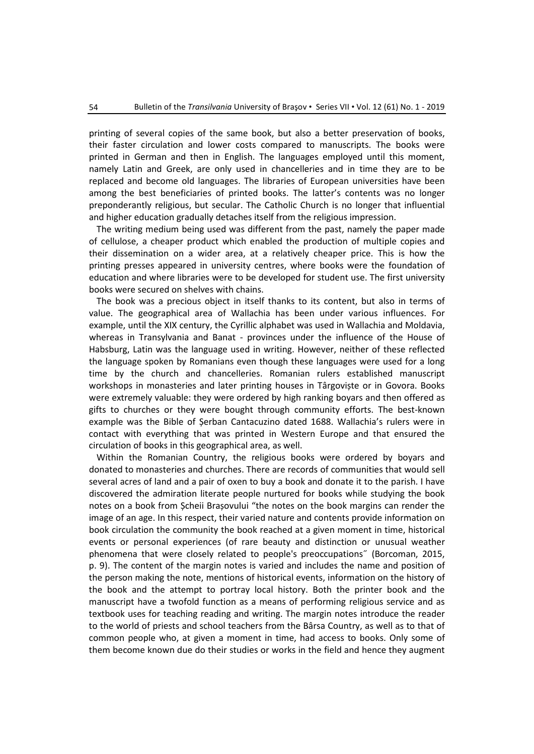printing of several copies of the same book, but also a better preservation of books, their faster circulation and lower costs compared to manuscripts. The books were printed in German and then in English. The languages employed until this moment, namely Latin and Greek, are only used in chancelleries and in time they are to be replaced and become old languages. The libraries of European universities have been among the best beneficiaries of printed books. The latter's contents was no longer preponderantly religious, but secular. The Catholic Church is no longer that influential and higher education gradually detaches itself from the religious impression.

The writing medium being used was different from the past, namely the paper made of cellulose, a cheaper product which enabled the production of multiple copies and their dissemination on a wider area, at a relatively cheaper price. This is how the printing presses appeared in university centres, where books were the foundation of education and where libraries were to be developed for student use. The first university books were secured on shelves with chains.

The book was a precious object in itself thanks to its content, but also in terms of value. The geographical area of Wallachia has been under various influences. For example, until the XIX century, the Cyrillic alphabet was used in Wallachia and Moldavia, whereas in Transylvania and Banat - provinces under the influence of the House of Habsburg, Latin was the language used in writing. However, neither of these reflected the language spoken by Romanians even though these languages were used for a long time by the church and chancelleries. Romanian rulers established manuscript workshops in monasteries and later printing houses in Târgoviște or in Govora. Books were extremely valuable: they were ordered by high ranking boyars and then offered as gifts to churches or they were bought through community efforts. The best-known example was the Bible of Șerban Cantacuzino dated 1688. Wallachia's rulers were in contact with everything that was printed in Western Europe and that ensured the circulation of books in this geographical area, as well.

Within the Romanian Country, the religious books were ordered by boyars and donated to monasteries and churches. There are records of communities that would sell several acres of land and a pair of oxen to buy a book and donate it to the parish. I have discovered the admiration literate people nurtured for books while studying the book notes on a book from Șcheii Brașovului "the notes on the book margins can render the image of an age. In this respect, their varied nature and contents provide information on book circulation the community the book reached at a given moment in time, historical events or personal experiences (of rare beauty and distinction or unusual weather phenomena that were closely related to people's preoccupations˝ (Borcoman, 2015, p. 9). The content of the margin notes is varied and includes the name and position of the person making the note, mentions of historical events, information on the history of the book and the attempt to portray local history. Both the printer book and the manuscript have a twofold function as a means of performing religious service and as textbook uses for teaching reading and writing. The margin notes introduce the reader to the world of priests and school teachers from the Bârsa Country, as well as to that of common people who, at given a moment in time, had access to books. Only some of them become known due do their studies or works in the field and hence they augment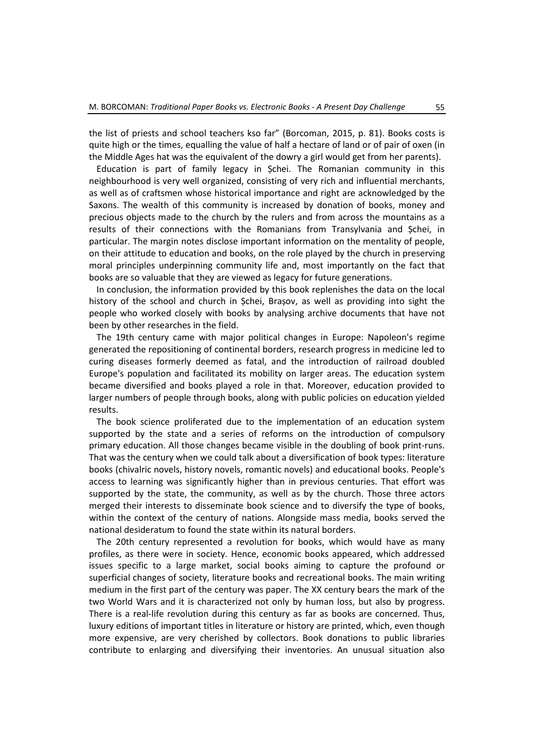the list of priests and school teachers kso far" (Borcoman, 2015, p. 81). Books costs is quite high or the times, equalling the value of half a hectare of land or of pair of oxen (in the Middle Ages hat was the equivalent of the dowry a girl would get from her parents).

Education is part of family legacy in Șchei. The Romanian community in this neighbourhood is very well organized, consisting of very rich and influential merchants, as well as of craftsmen whose historical importance and right are acknowledged by the Saxons. The wealth of this community is increased by donation of books, money and precious objects made to the church by the rulers and from across the mountains as a results of their connections with the Romanians from Transylvania and Șchei, in particular. The margin notes disclose important information on the mentality of people, on their attitude to education and books, on the role played by the church in preserving moral principles underpinning community life and, most importantly on the fact that books are so valuable that they are viewed as legacy for future generations.

In conclusion, the information provided by this book replenishes the data on the local history of the school and church in Șchei, Brașov, as well as providing into sight the people who worked closely with books by analysing archive documents that have not been by other researches in the field.

The 19th century came with major political changes in Europe: Napoleon's regime generated the repositioning of continental borders, research progress in medicine led to curing diseases formerly deemed as fatal, and the introduction of railroad doubled Europe's population and facilitated its mobility on larger areas. The education system became diversified and books played a role in that. Moreover, education provided to larger numbers of people through books, along with public policies on education yielded results.

The book science proliferated due to the implementation of an education system supported by the state and a series of reforms on the introduction of compulsory primary education. All those changes became visible in the doubling of book print-runs. That was the century when we could talk about a diversification of book types: literature books (chivalric novels, history novels, romantic novels) and educational books. People's access to learning was significantly higher than in previous centuries. That effort was supported by the state, the community, as well as by the church. Those three actors merged their interests to disseminate book science and to diversify the type of books, within the context of the century of nations. Alongside mass media, books served the national desideratum to found the state within its natural borders.

The 20th century represented a revolution for books, which would have as many profiles, as there were in society. Hence, economic books appeared, which addressed issues specific to a large market, social books aiming to capture the profound or superficial changes of society, literature books and recreational books. The main writing medium in the first part of the century was paper. The XX century bears the mark of the two World Wars and it is characterized not only by human loss, but also by progress. There is a real-life revolution during this century as far as books are concerned. Thus, luxury editions of important titles in literature or history are printed, which, even though more expensive, are very cherished by collectors. Book donations to public libraries contribute to enlarging and diversifying their inventories. An unusual situation also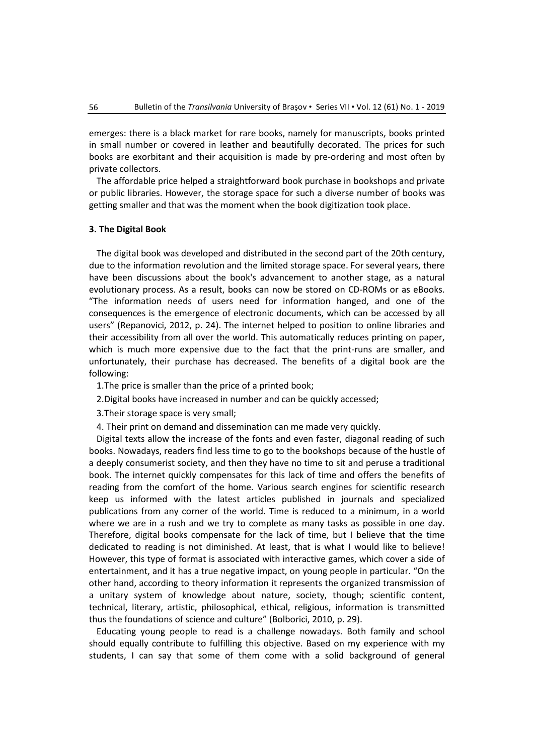emerges: there is a black market for rare books, namely for manuscripts, books printed in small number or covered in leather and beautifully decorated. The prices for such books are exorbitant and their acquisition is made by pre-ordering and most often by private collectors.

The affordable price helped a straightforward book purchase in bookshops and private or public libraries. However, the storage space for such a diverse number of books was getting smaller and that was the moment when the book digitization took place.

## **3. The Digital Book**

The digital book was developed and distributed in the second part of the 20th century, due to the information revolution and the limited storage space. For several years, there have been discussions about the book's advancement to another stage, as a natural evolutionary process. As a result, books can now be stored on CD-ROMs or as eBooks. "The information needs of users need for information hanged, and one of the consequences is the emergence of electronic documents, which can be accessed by all users" (Repanovici, 2012, p. 24). The internet helped to position to online libraries and their accessibility from all over the world. This automatically reduces printing on paper, which is much more expensive due to the fact that the print-runs are smaller, and unfortunately, their purchase has decreased. The benefits of a digital book are the following:

1.The price is smaller than the price of a printed book;

2.Digital books have increased in number and can be quickly accessed;

3.Their storage space is very small;

4. Their print on demand and dissemination can me made very quickly.

Digital texts allow the increase of the fonts and even faster, diagonal reading of such books. Nowadays, readers find less time to go to the bookshops because of the hustle of a deeply consumerist society, and then they have no time to sit and peruse a traditional book. The internet quickly compensates for this lack of time and offers the benefits of reading from the comfort of the home. Various search engines for scientific research keep us informed with the latest articles published in journals and specialized publications from any corner of the world. Time is reduced to a minimum, in a world where we are in a rush and we try to complete as many tasks as possible in one day. Therefore, digital books compensate for the lack of time, but I believe that the time dedicated to reading is not diminished. At least, that is what I would like to believe! However, this type of format is associated with interactive games, which cover a side of entertainment, and it has a true negative impact, on young people in particular. "On the other hand, according to theory information it represents the organized transmission of a unitary system of knowledge about nature, society, though; scientific content, technical, literary, artistic, philosophical, ethical, religious, information is transmitted thus the foundations of science and culture" (Bolborici, 2010, p. 29).

Educating young people to read is a challenge nowadays. Both family and school should equally contribute to fulfilling this objective. Based on my experience with my students, I can say that some of them come with a solid background of general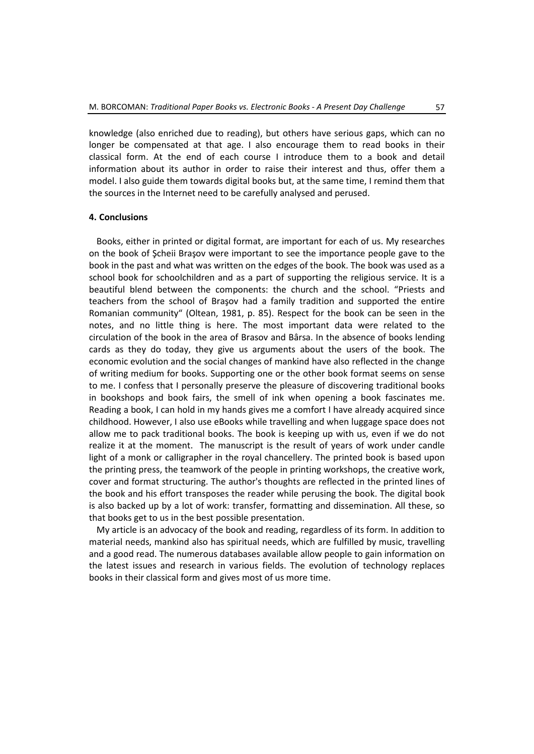knowledge (also enriched due to reading), but others have serious gaps, which can no longer be compensated at that age. I also encourage them to read books in their classical form. At the end of each course I introduce them to a book and detail information about its author in order to raise their interest and thus, offer them a model. I also guide them towards digital books but, at the same time, I remind them that the sources in the Internet need to be carefully analysed and perused.

## **4. Conclusions**

Books, either in printed or digital format, are important for each of us. My researches on the book of Şcheii Braşov were important to see the importance people gave to the book in the past and what was written on the edges of the book. The book was used as a school book for schoolchildren and as a part of supporting the religious service. It is a beautiful blend between the components: the church and the school. "Priests and teachers from the school of Braşov had a family tradition and supported the entire Romanian community" (Oltean, 1981, p. 85). Respect for the book can be seen in the notes, and no little thing is here. The most important data were related to the circulation of the book in the area of Brasov and Bârsa. In the absence of books lending cards as they do today, they give us arguments about the users of the book. The economic evolution and the social changes of mankind have also reflected in the change of writing medium for books. Supporting one or the other book format seems on sense to me. I confess that I personally preserve the pleasure of discovering traditional books in bookshops and book fairs, the smell of ink when opening a book fascinates me. Reading a book, I can hold in my hands gives me a comfort I have already acquired since childhood. However, I also use eBooks while travelling and when luggage space does not allow me to pack traditional books. The book is keeping up with us, even if we do not realize it at the moment. The manuscript is the result of years of work under candle light of a monk or calligrapher in the royal chancellery. The printed book is based upon the printing press, the teamwork of the people in printing workshops, the creative work, cover and format structuring. The author's thoughts are reflected in the printed lines of the book and his effort transposes the reader while perusing the book. The digital book is also backed up by a lot of work: transfer, formatting and dissemination. All these, so that books get to us in the best possible presentation.

My article is an advocacy of the book and reading, regardless of its form. In addition to material needs, mankind also has spiritual needs, which are fulfilled by music, travelling and a good read. The numerous databases available allow people to gain information on the latest issues and research in various fields. The evolution of technology replaces books in their classical form and gives most of us more time.